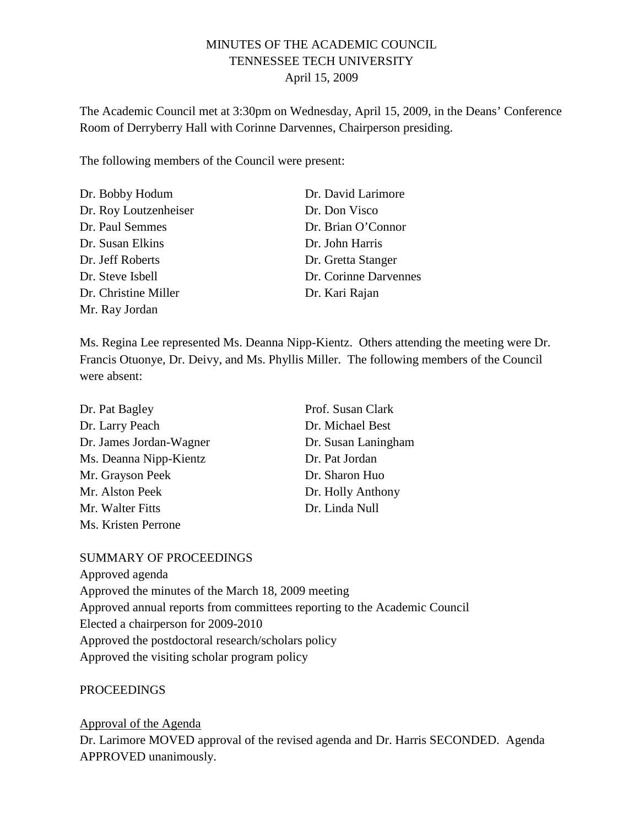# MINUTES OF THE ACADEMIC COUNCIL TENNESSEE TECH UNIVERSITY April 15, 2009

The Academic Council met at 3:30pm on Wednesday, April 15, 2009, in the Deans' Conference Room of Derryberry Hall with Corinne Darvennes, Chairperson presiding.

The following members of the Council were present:

| Dr. Bobby Hodum       | Dr. David Larimore    |
|-----------------------|-----------------------|
| Dr. Roy Loutzenheiser | Dr. Don Visco         |
| Dr. Paul Semmes       | Dr. Brian O'Connor    |
| Dr. Susan Elkins      | Dr. John Harris       |
| Dr. Jeff Roberts      | Dr. Gretta Stanger    |
| Dr. Steve Isbell      | Dr. Corinne Darvennes |
| Dr. Christine Miller  | Dr. Kari Rajan        |
| Mr. Ray Jordan        |                       |

Ms. Regina Lee represented Ms. Deanna Nipp-Kientz. Others attending the meeting were Dr. Francis Otuonye, Dr. Deivy, and Ms. Phyllis Miller. The following members of the Council were absent:

| Dr. Pat Bagley          | Prof. Susan Clark   |
|-------------------------|---------------------|
| Dr. Larry Peach         | Dr. Michael Best    |
| Dr. James Jordan-Wagner | Dr. Susan Laningham |
| Ms. Deanna Nipp-Kientz  | Dr. Pat Jordan      |
| Mr. Grayson Peek        | Dr. Sharon Huo      |
| Mr. Alston Peek         | Dr. Holly Anthony   |
| Mr. Walter Fitts        | Dr. Linda Null      |
| Ms. Kristen Perrone     |                     |

## SUMMARY OF PROCEEDINGS

Approved agenda Approved the minutes of the March 18, 2009 meeting Approved annual reports from committees reporting to the Academic Council Elected a chairperson for 2009-2010 Approved the postdoctoral research/scholars policy Approved the visiting scholar program policy

## PROCEEDINGS

Dr. Larimore MOVED approval of the revised agenda and Dr. Harris SECONDED. Agenda APPROVED unanimously. Approval of the Agenda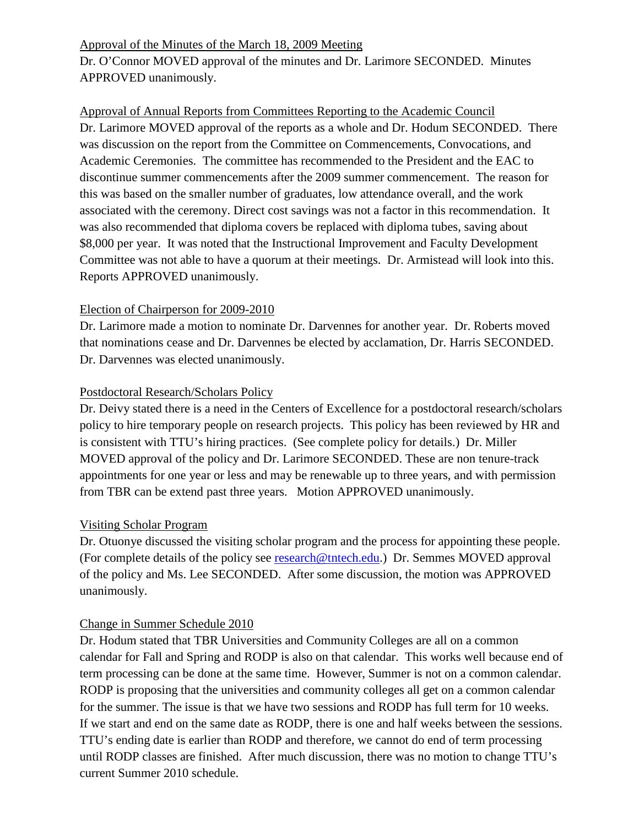Dr. O'Connor MOVED approval of the minutes and Dr. Larimore SECONDED. Minutes APPROVED unanimously. Approval of the Minutes of the March 18, 2009 Meeting

Dr. Larimore MOVED approval of the reports as a whole and Dr. Hodum SECONDED. There was discussion on the report from the Committee on Commencements, Convocations, and Academic Ceremonies. The committee has recommended to the President and the EAC to discontinue summer commencements after the 2009 summer commencement. The reason for this was based on the smaller number of graduates, low attendance overall, and the work associated with the ceremony. Direct cost savings was not a factor in this recommendation. It was also recommended that diploma covers be replaced with diploma tubes, saving about \$8,000 per year. It was noted that the Instructional Improvement and Faculty Development Committee was not able to have a quorum at their meetings. Dr. Armistead will look into this. Reports APPROVED unanimously. Approval of Annual Reports from Committees Reporting to the Academic Council

### Election of Chairperson for 2009-2010

Dr. Larimore made a motion to nominate Dr. Darvennes for another year. Dr. Roberts moved that nominations cease and Dr. Darvennes be elected by acclamation, Dr. Harris SECONDED. Dr. Darvennes was elected unanimously.

## Postdoctoral Research/Scholars Policy

Dr. Deivy stated there is a need in the Centers of Excellence for a postdoctoral research/scholars policy to hire temporary people on research projects. This policy has been reviewed by HR and is consistent with TTU's hiring practices. (See complete policy for details.) Dr. Miller MOVED approval of the policy and Dr. Larimore SECONDED. These are non tenure-track appointments for one year or less and may be renewable up to three years, and with permission from TBR can be extend past three years. Motion APPROVED unanimously.

## Visiting Scholar Program

Dr. Otuonye discussed the visiting scholar program and the process for appointing these people. (For complete details of the policy see [research@tntech.edu.](mailto:research@tntech.edu)) Dr. Semmes MOVED approval of the policy and Ms. Lee SECONDED. After some discussion, the motion was APPROVED unanimously.

## Change in Summer Schedule 2010

Dr. Hodum stated that TBR Universities and Community Colleges are all on a common calendar for Fall and Spring and RODP is also on that calendar. This works well because end of term processing can be done at the same time. However, Summer is not on a common calendar. RODP is proposing that the universities and community colleges all get on a common calendar for the summer. The issue is that we have two sessions and RODP has full term for 10 weeks. If we start and end on the same date as RODP, there is one and half weeks between the sessions. TTU's ending date is earlier than RODP and therefore, we cannot do end of term processing until RODP classes are finished. After much discussion, there was no motion to change TTU's current Summer 2010 schedule.